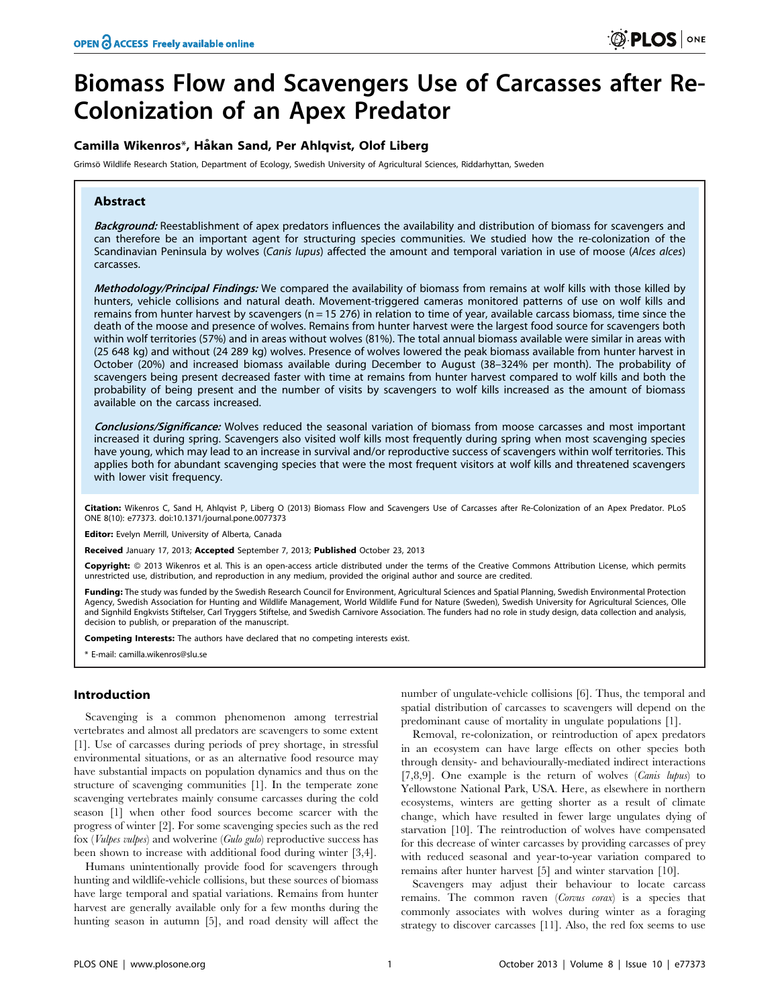# Biomass Flow and Scavengers Use of Carcasses after Re-Colonization of an Apex Predator

# Camilla Wikenros\*, Håkan Sand, Per Ahlqvist, Olof Liberg

Grimsö Wildlife Research Station, Department of Ecology, Swedish University of Agricultural Sciences, Riddarhyttan, Sweden

# Abstract

Background: Reestablishment of apex predators influences the availability and distribution of biomass for scavengers and can therefore be an important agent for structuring species communities. We studied how the re-colonization of the Scandinavian Peninsula by wolves (Canis lupus) affected the amount and temporal variation in use of moose (Alces alces) carcasses.

Methodology/Principal Findings: We compared the availability of biomass from remains at wolf kills with those killed by hunters, vehicle collisions and natural death. Movement-triggered cameras monitored patterns of use on wolf kills and remains from hunter harvest by scavengers ( $n = 15\,276$ ) in relation to time of year, available carcass biomass, time since the death of the moose and presence of wolves. Remains from hunter harvest were the largest food source for scavengers both within wolf territories (57%) and in areas without wolves (81%). The total annual biomass available were similar in areas with (25 648 kg) and without (24 289 kg) wolves. Presence of wolves lowered the peak biomass available from hunter harvest in October (20%) and increased biomass available during December to August (38–324% per month). The probability of scavengers being present decreased faster with time at remains from hunter harvest compared to wolf kills and both the probability of being present and the number of visits by scavengers to wolf kills increased as the amount of biomass available on the carcass increased.

Conclusions/Significance: Wolves reduced the seasonal variation of biomass from moose carcasses and most important increased it during spring. Scavengers also visited wolf kills most frequently during spring when most scavenging species have young, which may lead to an increase in survival and/or reproductive success of scavengers within wolf territories. This applies both for abundant scavenging species that were the most frequent visitors at wolf kills and threatened scavengers with lower visit frequency.

Citation: Wikenros C, Sand H, Ahlqvist P, Liberg O (2013) Biomass Flow and Scavengers Use of Carcasses after Re-Colonization of an Apex Predator. PLoS ONE 8(10): e77373. doi:10.1371/journal.pone.0077373

Editor: Evelyn Merrill, University of Alberta, Canada

Received January 17, 2013; Accepted September 7, 2013; Published October 23, 2013

Copyright: © 2013 Wikenros et al. This is an open-access article distributed under the terms of the Creative Commons Attribution License, which permits unrestricted use, distribution, and reproduction in any medium, provided the original author and source are credited.

Funding: The study was funded by the Swedish Research Council for Environment, Agricultural Sciences and Spatial Planning, Swedish Environmental Protection Agency, Swedish Association for Hunting and Wildlife Management, World Wildlife Fund for Nature (Sweden), Swedish University for Agricultural Sciences, Olle and Signhild Engkvists Stiftelser, Carl Tryggers Stiftelse, and Swedish Carnivore Association. The funders had no role in study design, data collection and analysis, decision to publish, or preparation of the manuscript.

Competing Interests: The authors have declared that no competing interests exist.

\* E-mail: camilla.wikenros@slu.se

# Introduction

Scavenging is a common phenomenon among terrestrial vertebrates and almost all predators are scavengers to some extent [1]. Use of carcasses during periods of prey shortage, in stressful environmental situations, or as an alternative food resource may have substantial impacts on population dynamics and thus on the structure of scavenging communities [1]. In the temperate zone scavenging vertebrates mainly consume carcasses during the cold season [1] when other food sources become scarcer with the progress of winter [2]. For some scavenging species such as the red fox (Vulpes vulpes) and wolverine (Gulo gulo) reproductive success has been shown to increase with additional food during winter [3,4].

Humans unintentionally provide food for scavengers through hunting and wildlife-vehicle collisions, but these sources of biomass have large temporal and spatial variations. Remains from hunter harvest are generally available only for a few months during the hunting season in autumn [5], and road density will affect the

number of ungulate-vehicle collisions [6]. Thus, the temporal and spatial distribution of carcasses to scavengers will depend on the predominant cause of mortality in ungulate populations [1].

Removal, re-colonization, or reintroduction of apex predators in an ecosystem can have large effects on other species both through density- and behaviourally-mediated indirect interactions [7,8,9]. One example is the return of wolves (Canis lupus) to Yellowstone National Park, USA. Here, as elsewhere in northern ecosystems, winters are getting shorter as a result of climate change, which have resulted in fewer large ungulates dying of starvation [10]. The reintroduction of wolves have compensated for this decrease of winter carcasses by providing carcasses of prey with reduced seasonal and year-to-year variation compared to remains after hunter harvest [5] and winter starvation [10].

Scavengers may adjust their behaviour to locate carcass remains. The common raven (Corvus corax) is a species that commonly associates with wolves during winter as a foraging strategy to discover carcasses [11]. Also, the red fox seems to use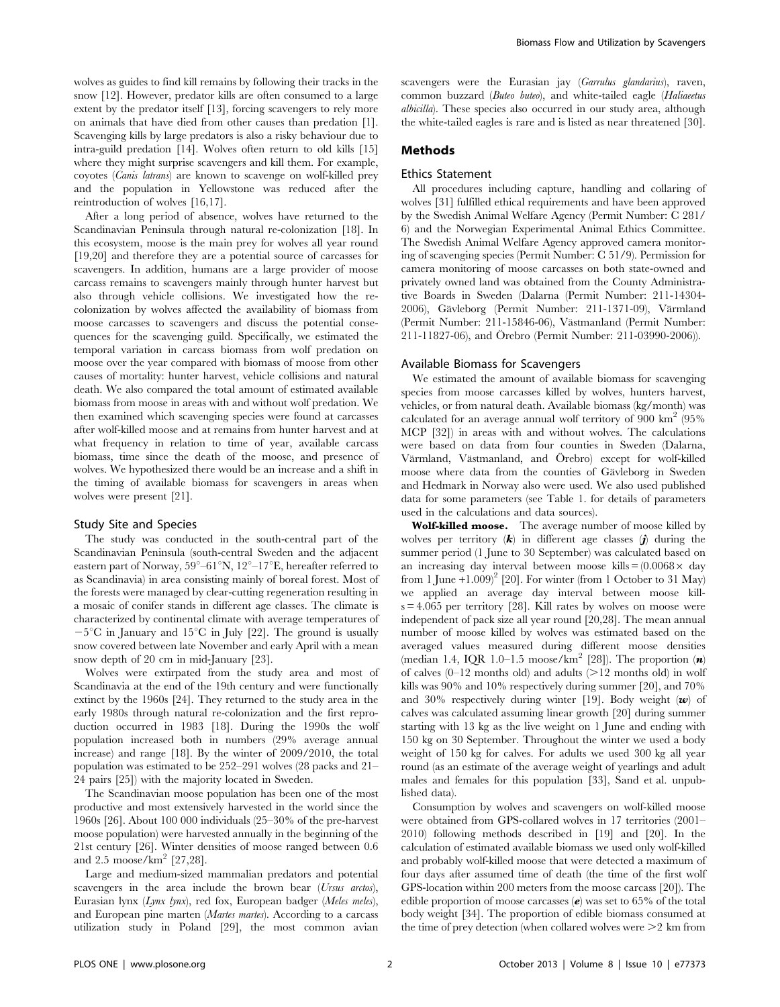wolves as guides to find kill remains by following their tracks in the snow [12]. However, predator kills are often consumed to a large extent by the predator itself [13], forcing scavengers to rely more on animals that have died from other causes than predation [1]. Scavenging kills by large predators is also a risky behaviour due to intra-guild predation [14]. Wolves often return to old kills [15] where they might surprise scavengers and kill them. For example, coyotes (Canis latrans) are known to scavenge on wolf-killed prey and the population in Yellowstone was reduced after the reintroduction of wolves [16,17].

After a long period of absence, wolves have returned to the Scandinavian Peninsula through natural re-colonization [18]. In this ecosystem, moose is the main prey for wolves all year round [19,20] and therefore they are a potential source of carcasses for scavengers. In addition, humans are a large provider of moose carcass remains to scavengers mainly through hunter harvest but also through vehicle collisions. We investigated how the recolonization by wolves affected the availability of biomass from moose carcasses to scavengers and discuss the potential consequences for the scavenging guild. Specifically, we estimated the temporal variation in carcass biomass from wolf predation on moose over the year compared with biomass of moose from other causes of mortality: hunter harvest, vehicle collisions and natural death. We also compared the total amount of estimated available biomass from moose in areas with and without wolf predation. We then examined which scavenging species were found at carcasses after wolf-killed moose and at remains from hunter harvest and at what frequency in relation to time of year, available carcass biomass, time since the death of the moose, and presence of wolves. We hypothesized there would be an increase and a shift in the timing of available biomass for scavengers in areas when wolves were present [21].

#### Study Site and Species

The study was conducted in the south-central part of the Scandinavian Peninsula (south-central Sweden and the adjacent eastern part of Norway,  $59^{\circ}$ –61 $\mathrm{N}$ ,  $12^{\circ}$ –17 $\mathrm{E}$ , hereafter referred to as Scandinavia) in area consisting mainly of boreal forest. Most of the forests were managed by clear-cutting regeneration resulting in a mosaic of conifer stands in different age classes. The climate is characterized by continental climate with average temperatures of  $-5^{\circ}$ C in January and 15<sup>°</sup>C in July [22]. The ground is usually snow covered between late November and early April with a mean snow depth of 20 cm in mid-January [23].

Wolves were extirpated from the study area and most of Scandinavia at the end of the 19th century and were functionally extinct by the 1960s [24]. They returned to the study area in the early 1980s through natural re-colonization and the first reproduction occurred in 1983 [18]. During the 1990s the wolf population increased both in numbers (29% average annual increase) and range [18]. By the winter of 2009/2010, the total population was estimated to be 252–291 wolves (28 packs and 21– 24 pairs [25]) with the majority located in Sweden.

The Scandinavian moose population has been one of the most productive and most extensively harvested in the world since the 1960s [26]. About 100 000 individuals (25–30% of the pre-harvest moose population) were harvested annually in the beginning of the 21st century [26]. Winter densities of moose ranged between 0.6 and 2.5 moose/km<sup>2</sup> [27,28].

Large and medium-sized mammalian predators and potential scavengers in the area include the brown bear (Ursus arctos), Eurasian lynx (Lynx lynx), red fox, European badger (Meles meles), and European pine marten (Martes martes). According to a carcass utilization study in Poland [29], the most common avian scavengers were the Eurasian jay (Garrulus glandarius), raven, common buzzard (Buteo buteo), and white-tailed eagle (Haliaeetus albicilla). These species also occurred in our study area, although the white-tailed eagles is rare and is listed as near threatened [30].

## Methods

#### Ethics Statement

All procedures including capture, handling and collaring of wolves [31] fulfilled ethical requirements and have been approved by the Swedish Animal Welfare Agency (Permit Number: C 281/ 6) and the Norwegian Experimental Animal Ethics Committee. The Swedish Animal Welfare Agency approved camera monitoring of scavenging species (Permit Number: C 51/9). Permission for camera monitoring of moose carcasses on both state-owned and privately owned land was obtained from the County Administrative Boards in Sweden (Dalarna (Permit Number: 211-14304- 2006), Gäyleborg (Permit Number: 211-1371-09), Värmland (Permit Number: 211-15846-06), Västmanland (Permit Number: 211-11827-06), and Örebro (Permit Number: 211-03990-2006)).

#### Available Biomass for Scavengers

We estimated the amount of available biomass for scavenging species from moose carcasses killed by wolves, hunters harvest, vehicles, or from natural death. Available biomass (kg/month) was calculated for an average annual wolf territory of 900  $km^2$  (95%) MCP [32]) in areas with and without wolves. The calculations were based on data from four counties in Sweden (Dalarna, Värmland, Västmanland, and Örebro) except for wolf-killed moose where data from the counties of Gävleborg in Sweden and Hedmark in Norway also were used. We also used published data for some parameters (see Table 1. for details of parameters used in the calculations and data sources).

Wolf-killed moose. The average number of moose killed by wolves per territory  $(k)$  in different age classes  $(j)$  during the summer period (1 June to 30 September) was calculated based on an increasing day interval between moose kills  $= (0.0068 \times \text{day})$ from 1 June  $+1.009$ <sup>2</sup> [20]. For winter (from 1 October to 31 May) we applied an average day interval between moose kill $s = 4.065$  per territory [28]. Kill rates by wolves on moose were independent of pack size all year round [20,28]. The mean annual number of moose killed by wolves was estimated based on the averaged values measured during different moose densities (median 1.4, IQR 1.0–1.5 moose/km<sup>2</sup> [28]). The proportion  $(n)$ of calves  $(0-12 \text{ months old})$  and adults  $(>12 \text{ months old})$  in wolf kills was 90% and 10% respectively during summer [20], and 70% and 30% respectively during winter [19]. Body weight  $(w)$  of calves was calculated assuming linear growth [20] during summer starting with 13 kg as the live weight on 1 June and ending with 150 kg on 30 September. Throughout the winter we used a body weight of 150 kg for calves. For adults we used 300 kg all year round (as an estimate of the average weight of yearlings and adult males and females for this population [33], Sand et al. unpublished data).

Consumption by wolves and scavengers on wolf-killed moose were obtained from GPS-collared wolves in 17 territories (2001– 2010) following methods described in [19] and [20]. In the calculation of estimated available biomass we used only wolf-killed and probably wolf-killed moose that were detected a maximum of four days after assumed time of death (the time of the first wolf GPS-location within 200 meters from the moose carcass [20]). The edible proportion of moose carcasses  $(e)$  was set to 65% of the total body weight [34]. The proportion of edible biomass consumed at the time of prey detection (when collared wolves were  $\geq 2$  km from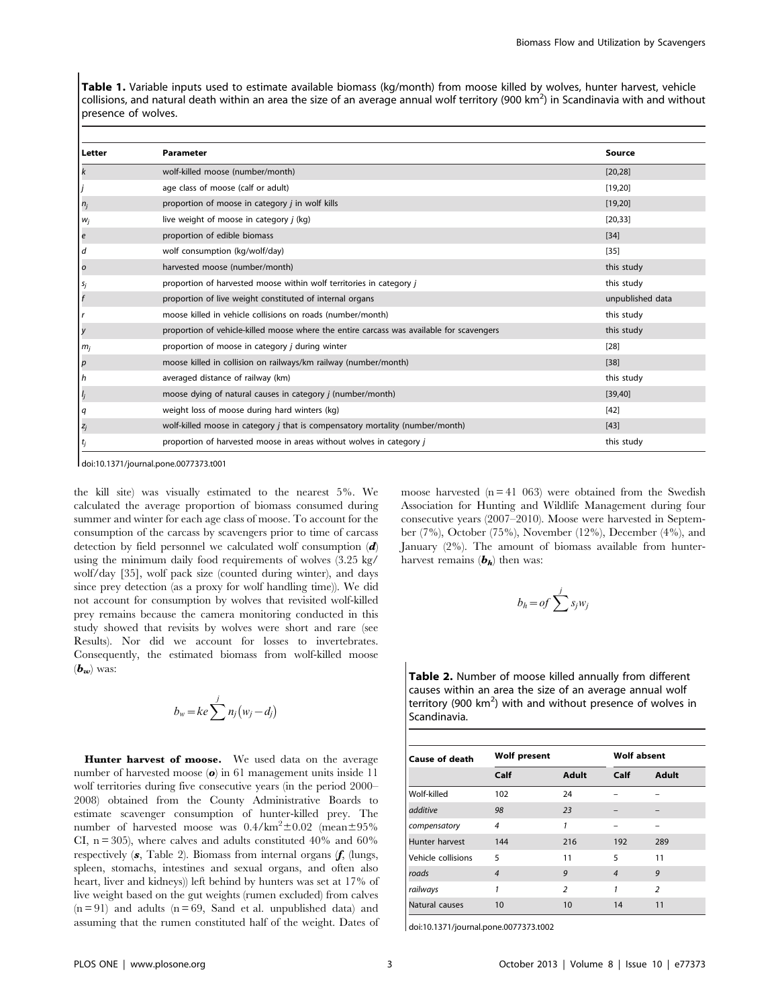Table 1. Variable inputs used to estimate available biomass (kg/month) from moose killed by wolves, hunter harvest, vehicle collisions, and natural death within an area the size of an average annual wolf territory (900 km<sup>2</sup>) in Scandinavia with and without presence of wolves.

| Letter         | Parameter                                                                                | Source           |
|----------------|------------------------------------------------------------------------------------------|------------------|
| k              | wolf-killed moose (number/month)                                                         | [20, 28]         |
|                | age class of moose (calf or adult)                                                       | [19, 20]         |
| $n_j$          | proportion of moose in category <i>j</i> in wolf kills                                   | [19, 20]         |
| $W_j$          | live weight of moose in category <i>j</i> (kg)                                           | [20, 33]         |
| е              | proportion of edible biomass                                                             | $[34]$           |
| d              | wolf consumption (kg/wolf/day)                                                           | $[35]$           |
| o              | harvested moose (number/month)                                                           | this study       |
| s <sub>j</sub> | proportion of harvested moose within wolf territories in category j                      | this study       |
|                | proportion of live weight constituted of internal organs                                 | unpublished data |
|                | moose killed in vehicle collisions on roads (number/month)                               | this study       |
| у              | proportion of vehicle-killed moose where the entire carcass was available for scavengers | this study       |
| $m_i$          | proportion of moose in category <i>j</i> during winter                                   | [28]             |
| р              | moose killed in collision on railways/km railway (number/month)                          | $[38]$           |
| n              | averaged distance of railway (km)                                                        | this study       |
|                | moose dying of natural causes in category <i>j</i> (number/month)                        | [39, 40]         |
|                | weight loss of moose during hard winters (kg)                                            | $[42]$           |
| $z_j$          | wolf-killed moose in category $j$ that is compensatory mortality (number/month)          | [43]             |
|                | proportion of harvested moose in areas without wolves in category j                      | this study       |

doi:10.1371/journal.pone.0077373.t001

the kill site) was visually estimated to the nearest 5%. We calculated the average proportion of biomass consumed during summer and winter for each age class of moose. To account for the consumption of the carcass by scavengers prior to time of carcass detection by field personnel we calculated wolf consumption  $(d)$ using the minimum daily food requirements of wolves (3.25 kg/ wolf/day [35], wolf pack size (counted during winter), and days since prey detection (as a proxy for wolf handling time)). We did not account for consumption by wolves that revisited wolf-killed prey remains because the camera monitoring conducted in this study showed that revisits by wolves were short and rare (see Results). Nor did we account for losses to invertebrates. Consequently, the estimated biomass from wolf-killed moose  $(\boldsymbol{b}_{\boldsymbol{z}\boldsymbol{\omega}})$  was:

$$
b_w = ke \sum^j n_j (w_j - d_j)
$$

Hunter harvest of moose. We used data on the average number of harvested moose  $\omega$  in 61 management units inside 11 wolf territories during five consecutive years (in the period 2000– 2008) obtained from the County Administrative Boards to estimate scavenger consumption of hunter-killed prey. The number of harvested moose was  $0.4/\text{km}^2 \pm 0.02$  (mean $\pm 95\%$ CI,  $n = 305$ ), where calves and adults constituted 40% and 60% respectively  $(s,$  Table 2). Biomass from internal organs  $(f, \text{ (lungs,}$ spleen, stomachs, intestines and sexual organs, and often also heart, liver and kidneys)) left behind by hunters was set at 17% of live weight based on the gut weights (rumen excluded) from calves  $(n = 91)$  and adults  $(n = 69,$  Sand et al. unpublished data) and assuming that the rumen constituted half of the weight. Dates of moose harvested  $(n = 41 \ 063)$  were obtained from the Swedish Association for Hunting and Wildlife Management during four consecutive years (2007–2010). Moose were harvested in September (7%), October (75%), November (12%), December (4%), and January (2%). The amount of biomass available from hunterharvest remains  $(b<sub>h</sub>)$  then was:

$$
b_h = of \sum^j s_j w_j
$$

Table 2. Number of moose killed annually from different causes within an area the size of an average annual wolf territory (900  $km^2$ ) with and without presence of wolves in Scandinavia.

| <b>Cause of death</b> | <b>Wolf present</b> |                | <b>Wolf absent</b> |                |  |
|-----------------------|---------------------|----------------|--------------------|----------------|--|
|                       | Calf                | <b>Adult</b>   | Calf               | Adult          |  |
| Wolf-killed           | 102                 | 24             |                    |                |  |
| additive              | 98                  | 23             |                    |                |  |
| compensatory          | $\overline{4}$      | 1              |                    |                |  |
| Hunter harvest        | 144                 | 216            | 192                | 289            |  |
| Vehicle collisions    | 5                   | 11             | 5                  | 11             |  |
| roads                 | $\overline{4}$      | 9              | $\overline{4}$     | 9              |  |
| railways              | 1                   | $\overline{2}$ | 1                  | $\overline{2}$ |  |
| Natural causes        | 10                  | 10             | 14                 | 11             |  |

doi:10.1371/journal.pone.0077373.t002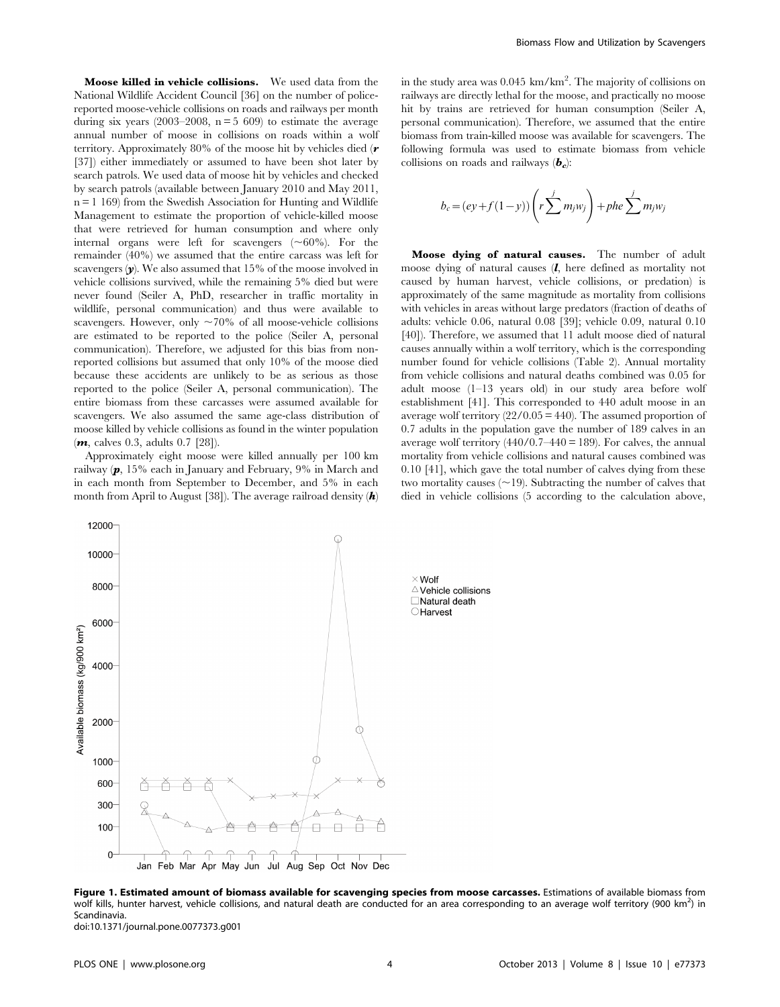Moose killed in vehicle collisions. We used data from the National Wildlife Accident Council [36] on the number of policereported moose-vehicle collisions on roads and railways per month during six years (2003–2008,  $n = 5,609$ ) to estimate the average annual number of moose in collisions on roads within a wolf territory. Approximately 80% of the moose hit by vehicles died ( $r$ [37]) either immediately or assumed to have been shot later by search patrols. We used data of moose hit by vehicles and checked by search patrols (available between January 2010 and May 2011,  $n = 1$  169) from the Swedish Association for Hunting and Wildlife Management to estimate the proportion of vehicle-killed moose that were retrieved for human consumption and where only internal organs were left for scavengers  $(\sim 60\%)$ . For the remainder (40%) we assumed that the entire carcass was left for scavengers  $(v)$ . We also assumed that 15% of the moose involved in vehicle collisions survived, while the remaining 5% died but were never found (Seiler A, PhD, researcher in traffic mortality in wildlife, personal communication) and thus were available to scavengers. However, only  $\sim$ 70% of all moose-vehicle collisions are estimated to be reported to the police (Seiler A, personal communication). Therefore, we adjusted for this bias from nonreported collisions but assumed that only 10% of the moose died because these accidents are unlikely to be as serious as those reported to the police (Seiler A, personal communication). The entire biomass from these carcasses were assumed available for scavengers. We also assumed the same age-class distribution of moose killed by vehicle collisions as found in the winter population  $(m, \text{calves } 0.3, \text{ adults } 0.7 [28]).$ 

Approximately eight moose were killed annually per 100 km railway (p, 15% each in January and February, 9% in March and in each month from September to December, and 5% in each month from April to August [38]). The average railroad density  $(h)$ 

in the study area was  $0.045 \text{ km/km}^2$ . The majority of collisions on railways are directly lethal for the moose, and practically no moose hit by trains are retrieved for human consumption (Seiler A, personal communication). Therefore, we assumed that the entire biomass from train-killed moose was available for scavengers. The following formula was used to estimate biomass from vehicle collisions on roads and railways  $(b<sub>c</sub>)$ :

$$
b_c = (ey + f(1 - y)) \left( r \sum^j m_j w_j \right) + phe \sum^j m_j w_j
$$

Moose dying of natural causes. The number of adult moose dying of natural causes  $(l, h)$  here defined as mortality not caused by human harvest, vehicle collisions, or predation) is approximately of the same magnitude as mortality from collisions with vehicles in areas without large predators (fraction of deaths of adults: vehicle 0.06, natural 0.08 [39]; vehicle 0.09, natural 0.10 [40]). Therefore, we assumed that 11 adult moose died of natural causes annually within a wolf territory, which is the corresponding number found for vehicle collisions (Table 2). Annual mortality from vehicle collisions and natural deaths combined was 0.05 for adult moose (1–13 years old) in our study area before wolf establishment [41]. This corresponded to 440 adult moose in an average wolf territory  $(22/0.05 = 440)$ . The assumed proportion of 0.7 adults in the population gave the number of 189 calves in an average wolf territory  $(440/0.7-440=189)$ . For calves, the annual mortality from vehicle collisions and natural causes combined was 0.10 [41], which gave the total number of calves dying from these two mortality causes  $(\sim 19)$ . Subtracting the number of calves that died in vehicle collisions (5 according to the calculation above,



Figure 1. Estimated amount of biomass available for scavenging species from moose carcasses. Estimations of available biomass from wolf kills, hunter harvest, vehicle collisions, and natural death are conducted for an area corresponding to an average wolf territory (900 km<sup>2</sup>) in Scandinavia. doi:10.1371/journal.pone.0077373.g001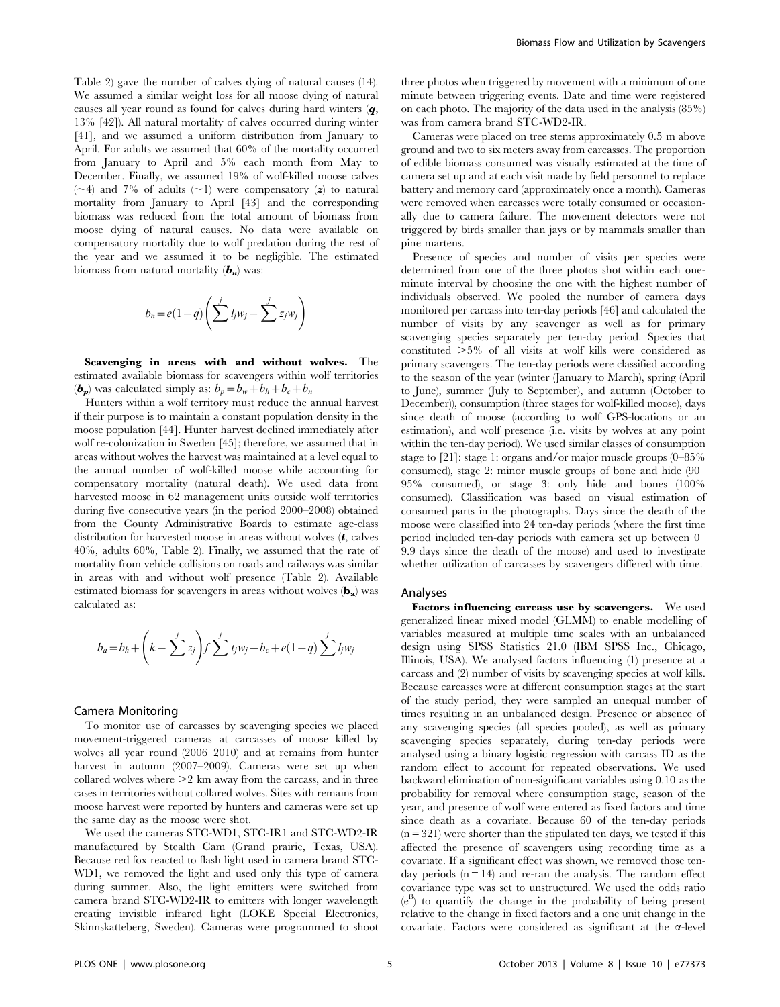Table 2) gave the number of calves dying of natural causes (14). We assumed a similar weight loss for all moose dying of natural causes all year round as found for calves during hard winters (q, 13% [42]). All natural mortality of calves occurred during winter [41], and we assumed a uniform distribution from January to April. For adults we assumed that 60% of the mortality occurred from January to April and 5% each month from May to December. Finally, we assumed 19% of wolf-killed moose calves  $(\sim 4)$  and 7% of adults  $(\sim 1)$  were compensatory (z) to natural mortality from January to April [43] and the corresponding biomass was reduced from the total amount of biomass from moose dying of natural causes. No data were available on compensatory mortality due to wolf predation during the rest of the year and we assumed it to be negligible. The estimated biomass from natural mortality  $(b_n)$  was:

$$
b_n = e(1-q)\left(\sum_{j}^{j} l_j w_j - \sum_{j}^{j} z_j w_j\right)
$$

Scavenging in areas with and without wolves. The estimated available biomass for scavengers within wolf territories  $(b_p)$  was calculated simply as:  $b_p = b_w + b_h + b_c + b_n$ 

Hunters within a wolf territory must reduce the annual harvest if their purpose is to maintain a constant population density in the moose population [44]. Hunter harvest declined immediately after wolf re-colonization in Sweden [45]; therefore, we assumed that in areas without wolves the harvest was maintained at a level equal to the annual number of wolf-killed moose while accounting for compensatory mortality (natural death). We used data from harvested moose in 62 management units outside wolf territories during five consecutive years (in the period 2000–2008) obtained from the County Administrative Boards to estimate age-class distribution for harvested moose in areas without wolves  $(t,$  calves 40%, adults 60%, Table 2). Finally, we assumed that the rate of mortality from vehicle collisions on roads and railways was similar in areas with and without wolf presence (Table 2). Available estimated biomass for scavengers in areas without wolves  $(b_a)$  was calculated as:

$$
b_a = b_h + \left(k - \sum_{j=1}^{j} z_j\right) f \sum_{j=1}^{j} t_j w_j + b_c + e(1 - q) \sum_{j=1}^{j} l_j w_j
$$

#### Camera Monitoring

To monitor use of carcasses by scavenging species we placed movement-triggered cameras at carcasses of moose killed by wolves all year round (2006–2010) and at remains from hunter harvest in autumn (2007–2009). Cameras were set up when collared wolves where  $\geq$  km away from the carcass, and in three cases in territories without collared wolves. Sites with remains from moose harvest were reported by hunters and cameras were set up the same day as the moose were shot.

We used the cameras STC-WD1, STC-IR1 and STC-WD2-IR manufactured by Stealth Cam (Grand prairie, Texas, USA). Because red fox reacted to flash light used in camera brand STC-WD1, we removed the light and used only this type of camera during summer. Also, the light emitters were switched from camera brand STC-WD2-IR to emitters with longer wavelength creating invisible infrared light (LOKE Special Electronics, Skinnskatteberg, Sweden). Cameras were programmed to shoot three photos when triggered by movement with a minimum of one minute between triggering events. Date and time were registered on each photo. The majority of the data used in the analysis (85%) was from camera brand STC-WD2-IR.

Cameras were placed on tree stems approximately 0.5 m above ground and two to six meters away from carcasses. The proportion of edible biomass consumed was visually estimated at the time of camera set up and at each visit made by field personnel to replace battery and memory card (approximately once a month). Cameras were removed when carcasses were totally consumed or occasionally due to camera failure. The movement detectors were not triggered by birds smaller than jays or by mammals smaller than pine martens.

Presence of species and number of visits per species were determined from one of the three photos shot within each oneminute interval by choosing the one with the highest number of individuals observed. We pooled the number of camera days monitored per carcass into ten-day periods [46] and calculated the number of visits by any scavenger as well as for primary scavenging species separately per ten-day period. Species that constituted  $>5\%$  of all visits at wolf kills were considered as primary scavengers. The ten-day periods were classified according to the season of the year (winter (January to March), spring (April to June), summer (July to September), and autumn (October to December)), consumption (three stages for wolf-killed moose), days since death of moose (according to wolf GPS-locations or an estimation), and wolf presence (i.e. visits by wolves at any point within the ten-day period). We used similar classes of consumption stage to [21]: stage 1: organs and/or major muscle groups (0–85% consumed), stage 2: minor muscle groups of bone and hide (90– 95% consumed), or stage 3: only hide and bones (100% consumed). Classification was based on visual estimation of consumed parts in the photographs. Days since the death of the moose were classified into 24 ten-day periods (where the first time period included ten-day periods with camera set up between 0– 9.9 days since the death of the moose) and used to investigate whether utilization of carcasses by scavengers differed with time.

#### Analyses

Factors influencing carcass use by scavengers. We used generalized linear mixed model (GLMM) to enable modelling of variables measured at multiple time scales with an unbalanced design using SPSS Statistics 21.0 (IBM SPSS Inc., Chicago, Illinois, USA). We analysed factors influencing (1) presence at a carcass and (2) number of visits by scavenging species at wolf kills. Because carcasses were at different consumption stages at the start of the study period, they were sampled an unequal number of times resulting in an unbalanced design. Presence or absence of any scavenging species (all species pooled), as well as primary scavenging species separately, during ten-day periods were analysed using a binary logistic regression with carcass ID as the random effect to account for repeated observations. We used backward elimination of non-significant variables using 0.10 as the probability for removal where consumption stage, season of the year, and presence of wolf were entered as fixed factors and time since death as a covariate. Because 60 of the ten-day periods  $(n = 321)$  were shorter than the stipulated ten days, we tested if this affected the presence of scavengers using recording time as a covariate. If a significant effect was shown, we removed those tenday periods  $(n = 14)$  and re-ran the analysis. The random effect covariance type was set to unstructured. We used the odds ratio  $(e^{B})$  to quantify the change in the probability of being present relative to the change in fixed factors and a one unit change in the covariate. Factors were considered as significant at the  $\alpha$ -level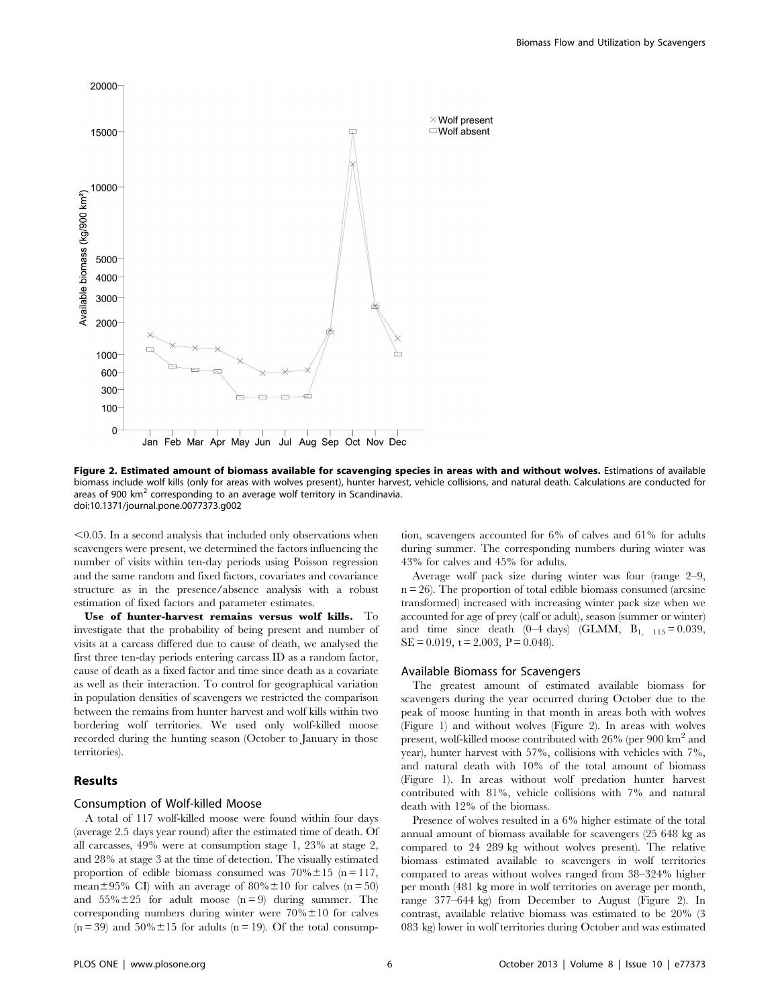

Figure 2. Estimated amount of biomass available for scavenging species in areas with and without wolves. Estimations of available biomass include wolf kills (only for areas with wolves present), hunter harvest, vehicle collisions, and natural death. Calculations are conducted for areas of 900 km<sup>2</sup> corresponding to an average wolf territory in Scandinavia. doi:10.1371/journal.pone.0077373.g002

 $<$ 0.05. In a second analysis that included only observations when scavengers were present, we determined the factors influencing the number of visits within ten-day periods using Poisson regression and the same random and fixed factors, covariates and covariance structure as in the presence/absence analysis with a robust estimation of fixed factors and parameter estimates.

Use of hunter-harvest remains versus wolf kills. To investigate that the probability of being present and number of visits at a carcass differed due to cause of death, we analysed the first three ten-day periods entering carcass ID as a random factor, cause of death as a fixed factor and time since death as a covariate as well as their interaction. To control for geographical variation in population densities of scavengers we restricted the comparison between the remains from hunter harvest and wolf kills within two bordering wolf territories. We used only wolf-killed moose recorded during the hunting season (October to January in those territories).

#### Results

## Consumption of Wolf-killed Moose

A total of 117 wolf-killed moose were found within four days (average 2.5 days year round) after the estimated time of death. Of all carcasses, 49% were at consumption stage 1, 23% at stage 2, and 28% at stage 3 at the time of detection. The visually estimated proportion of edible biomass consumed was  $70\% \pm 15$  (n = 117, mean $\pm$ 95% CI) with an average of 80% $\pm$ 10 for calves (n = 50) and  $55\% \pm 25$  for adult moose (n = 9) during summer. The corresponding numbers during winter were  $70\% \pm 10$  for calves  $(n = 39)$  and  $50\% \pm 15$  for adults  $(n = 19)$ . Of the total consump-

tion, scavengers accounted for 6% of calves and 61% for adults during summer. The corresponding numbers during winter was 43% for calves and 45% for adults.

Average wolf pack size during winter was four (range 2–9,  $n = 26$ ). The proportion of total edible biomass consumed (arcsine transformed) increased with increasing winter pack size when we accounted for age of prey (calf or adult), season (summer or winter) and time since death  $(0-4 \text{ days})$  (GLMM,  $B_{1,-115} = 0.039$ ,  $SE = 0.019$ ,  $t = 2.003$ ,  $P = 0.048$ ).

## Available Biomass for Scavengers

The greatest amount of estimated available biomass for scavengers during the year occurred during October due to the peak of moose hunting in that month in areas both with wolves (Figure 1) and without wolves (Figure 2). In areas with wolves present, wolf-killed moose contributed with 26% (per 900 km<sup>2</sup> and year), hunter harvest with 57%, collisions with vehicles with 7%, and natural death with 10% of the total amount of biomass (Figure 1). In areas without wolf predation hunter harvest contributed with 81%, vehicle collisions with 7% and natural death with 12% of the biomass.

Presence of wolves resulted in a 6% higher estimate of the total annual amount of biomass available for scavengers (25 648 kg as compared to 24 289 kg without wolves present). The relative biomass estimated available to scavengers in wolf territories compared to areas without wolves ranged from 38–324% higher per month (481 kg more in wolf territories on average per month, range 377–644 kg) from December to August (Figure 2). In contrast, available relative biomass was estimated to be 20% (3 083 kg) lower in wolf territories during October and was estimated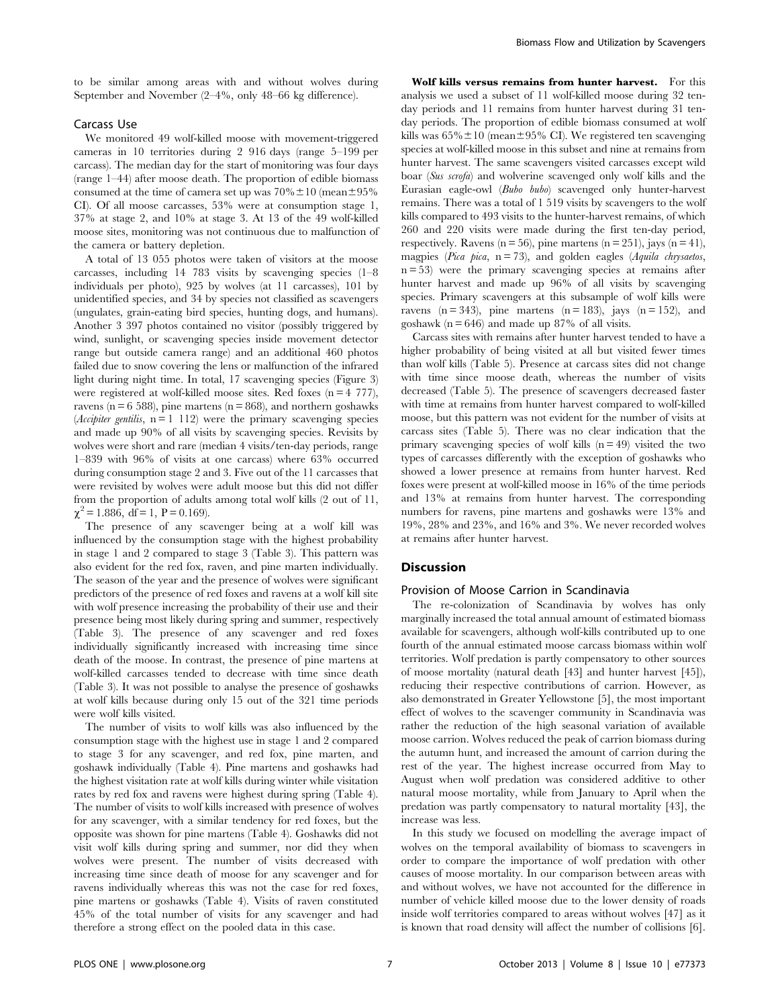to be similar among areas with and without wolves during September and November (2–4%, only 48–66 kg difference).

# Carcass Use

We monitored 49 wolf-killed moose with movement-triggered cameras in 10 territories during 2 916 days (range 5–199 per carcass). The median day for the start of monitoring was four days (range 1–44) after moose death. The proportion of edible biomass consumed at the time of camera set up was  $70\% \pm 10$  (mean $\pm 95\%$ CI). Of all moose carcasses, 53% were at consumption stage 1, 37% at stage 2, and 10% at stage 3. At 13 of the 49 wolf-killed moose sites, monitoring was not continuous due to malfunction of the camera or battery depletion.

A total of 13 055 photos were taken of visitors at the moose carcasses, including 14 783 visits by scavenging species (1–8 individuals per photo), 925 by wolves (at 11 carcasses), 101 by unidentified species, and 34 by species not classified as scavengers (ungulates, grain-eating bird species, hunting dogs, and humans). Another 3 397 photos contained no visitor (possibly triggered by wind, sunlight, or scavenging species inside movement detector range but outside camera range) and an additional 460 photos failed due to snow covering the lens or malfunction of the infrared light during night time. In total, 17 scavenging species (Figure 3) were registered at wolf-killed moose sites. Red foxes  $(n = 4 \ 777)$ , ravens ( $n = 6$  588), pine martens ( $n = 868$ ), and northern goshawks (*Accipiter gentilis*,  $n = 1$  112) were the primary scavenging species and made up 90% of all visits by scavenging species. Revisits by wolves were short and rare (median 4 visits/ten-day periods, range 1–839 with 96% of visits at one carcass) where 63% occurred during consumption stage 2 and 3. Five out of the 11 carcasses that were revisited by wolves were adult moose but this did not differ from the proportion of adults among total wolf kills (2 out of 11,  $\chi^2$  = 1.886, df = 1, P = 0.169).

The presence of any scavenger being at a wolf kill was influenced by the consumption stage with the highest probability in stage 1 and 2 compared to stage 3 (Table 3). This pattern was also evident for the red fox, raven, and pine marten individually. The season of the year and the presence of wolves were significant predictors of the presence of red foxes and ravens at a wolf kill site with wolf presence increasing the probability of their use and their presence being most likely during spring and summer, respectively (Table 3). The presence of any scavenger and red foxes individually significantly increased with increasing time since death of the moose. In contrast, the presence of pine martens at wolf-killed carcasses tended to decrease with time since death (Table 3). It was not possible to analyse the presence of goshawks at wolf kills because during only 15 out of the 321 time periods were wolf kills visited.

The number of visits to wolf kills was also influenced by the consumption stage with the highest use in stage 1 and 2 compared to stage 3 for any scavenger, and red fox, pine marten, and goshawk individually (Table 4). Pine martens and goshawks had the highest visitation rate at wolf kills during winter while visitation rates by red fox and ravens were highest during spring (Table 4). The number of visits to wolf kills increased with presence of wolves for any scavenger, with a similar tendency for red foxes, but the opposite was shown for pine martens (Table 4). Goshawks did not visit wolf kills during spring and summer, nor did they when wolves were present. The number of visits decreased with increasing time since death of moose for any scavenger and for ravens individually whereas this was not the case for red foxes, pine martens or goshawks (Table 4). Visits of raven constituted 45% of the total number of visits for any scavenger and had therefore a strong effect on the pooled data in this case.

Wolf kills versus remains from hunter harvest. For this analysis we used a subset of 11 wolf-killed moose during 32 tenday periods and 11 remains from hunter harvest during 31 tenday periods. The proportion of edible biomass consumed at wolf kills was  $65\% \pm 10$  (mean $\pm 95\%$  CI). We registered ten scavenging species at wolf-killed moose in this subset and nine at remains from hunter harvest. The same scavengers visited carcasses except wild boar (Sus scrofa) and wolverine scavenged only wolf kills and the Eurasian eagle-owl (Bubo bubo) scavenged only hunter-harvest remains. There was a total of 1 519 visits by scavengers to the wolf kills compared to 493 visits to the hunter-harvest remains, of which 260 and 220 visits were made during the first ten-day period, respectively. Ravens ( $n = 56$ ), pine martens ( $n = 251$ ), jays ( $n = 41$ ), magpies (Pica pica,  $n = 73$ ), and golden eagles (Aquila chrysaetos,  $n = 53$ ) were the primary scavenging species at remains after hunter harvest and made up 96% of all visits by scavenging species. Primary scavengers at this subsample of wolf kills were ravens ( $n = 343$ ), pine martens ( $n = 183$ ), jays ( $n = 152$ ), and goshawk ( $n = 646$ ) and made up 87% of all visits.

Carcass sites with remains after hunter harvest tended to have a higher probability of being visited at all but visited fewer times than wolf kills (Table 5). Presence at carcass sites did not change with time since moose death, whereas the number of visits decreased (Table 5). The presence of scavengers decreased faster with time at remains from hunter harvest compared to wolf-killed moose, but this pattern was not evident for the number of visits at carcass sites (Table 5). There was no clear indication that the primary scavenging species of wolf kills  $(n = 49)$  visited the two types of carcasses differently with the exception of goshawks who showed a lower presence at remains from hunter harvest. Red foxes were present at wolf-killed moose in 16% of the time periods and 13% at remains from hunter harvest. The corresponding numbers for ravens, pine martens and goshawks were 13% and 19%, 28% and 23%, and 16% and 3%. We never recorded wolves at remains after hunter harvest.

#### **Discussion**

## Provision of Moose Carrion in Scandinavia

The re-colonization of Scandinavia by wolves has only marginally increased the total annual amount of estimated biomass available for scavengers, although wolf-kills contributed up to one fourth of the annual estimated moose carcass biomass within wolf territories. Wolf predation is partly compensatory to other sources of moose mortality (natural death [43] and hunter harvest [45]), reducing their respective contributions of carrion. However, as also demonstrated in Greater Yellowstone [5], the most important effect of wolves to the scavenger community in Scandinavia was rather the reduction of the high seasonal variation of available moose carrion. Wolves reduced the peak of carrion biomass during the autumn hunt, and increased the amount of carrion during the rest of the year. The highest increase occurred from May to August when wolf predation was considered additive to other natural moose mortality, while from January to April when the predation was partly compensatory to natural mortality [43], the increase was less.

In this study we focused on modelling the average impact of wolves on the temporal availability of biomass to scavengers in order to compare the importance of wolf predation with other causes of moose mortality. In our comparison between areas with and without wolves, we have not accounted for the difference in number of vehicle killed moose due to the lower density of roads inside wolf territories compared to areas without wolves [47] as it is known that road density will affect the number of collisions [6].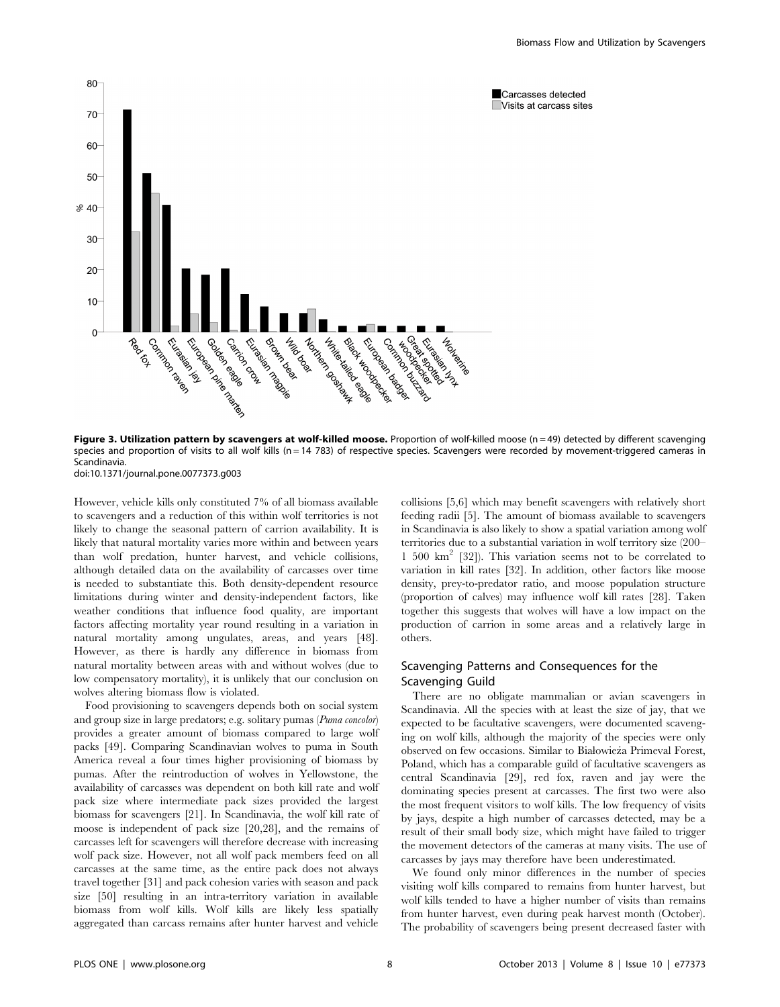

Figure 3. Utilization pattern by scavengers at wolf-killed moose. Proportion of wolf-killed moose ( $n = 49$ ) detected by different scavenging species and proportion of visits to all wolf kills (n = 14 783) of respective species. Scavengers were recorded by movement-triggered cameras in Scandinavia. doi:10.1371/journal.pone.0077373.g003

However, vehicle kills only constituted 7% of all biomass available to scavengers and a reduction of this within wolf territories is not likely to change the seasonal pattern of carrion availability. It is likely that natural mortality varies more within and between years than wolf predation, hunter harvest, and vehicle collisions, although detailed data on the availability of carcasses over time is needed to substantiate this. Both density-dependent resource limitations during winter and density-independent factors, like weather conditions that influence food quality, are important factors affecting mortality year round resulting in a variation in natural mortality among ungulates, areas, and years [48]. However, as there is hardly any difference in biomass from natural mortality between areas with and without wolves (due to low compensatory mortality), it is unlikely that our conclusion on wolves altering biomass flow is violated.

Food provisioning to scavengers depends both on social system and group size in large predators; e.g. solitary pumas (Puma concolor) provides a greater amount of biomass compared to large wolf packs [49]. Comparing Scandinavian wolves to puma in South America reveal a four times higher provisioning of biomass by pumas. After the reintroduction of wolves in Yellowstone, the availability of carcasses was dependent on both kill rate and wolf pack size where intermediate pack sizes provided the largest biomass for scavengers [21]. In Scandinavia, the wolf kill rate of moose is independent of pack size [20,28], and the remains of carcasses left for scavengers will therefore decrease with increasing wolf pack size. However, not all wolf pack members feed on all carcasses at the same time, as the entire pack does not always travel together [31] and pack cohesion varies with season and pack size [50] resulting in an intra-territory variation in available biomass from wolf kills. Wolf kills are likely less spatially aggregated than carcass remains after hunter harvest and vehicle

collisions [5,6] which may benefit scavengers with relatively short feeding radii [5]. The amount of biomass available to scavengers in Scandinavia is also likely to show a spatial variation among wolf territories due to a substantial variation in wolf territory size (200– 1 500  $km^2$  [32]). This variation seems not to be correlated to variation in kill rates [32]. In addition, other factors like moose density, prey-to-predator ratio, and moose population structure (proportion of calves) may influence wolf kill rates [28]. Taken together this suggests that wolves will have a low impact on the production of carrion in some areas and a relatively large in others.

# Scavenging Patterns and Consequences for the Scavenging Guild

There are no obligate mammalian or avian scavengers in Scandinavia. All the species with at least the size of jay, that we expected to be facultative scavengers, were documented scavenging on wolf kills, although the majority of the species were only observed on few occasions. Similar to Białowieża Primeval Forest, Poland, which has a comparable guild of facultative scavengers as central Scandinavia [29], red fox, raven and jay were the dominating species present at carcasses. The first two were also the most frequent visitors to wolf kills. The low frequency of visits by jays, despite a high number of carcasses detected, may be a result of their small body size, which might have failed to trigger the movement detectors of the cameras at many visits. The use of carcasses by jays may therefore have been underestimated.

We found only minor differences in the number of species visiting wolf kills compared to remains from hunter harvest, but wolf kills tended to have a higher number of visits than remains from hunter harvest, even during peak harvest month (October). The probability of scavengers being present decreased faster with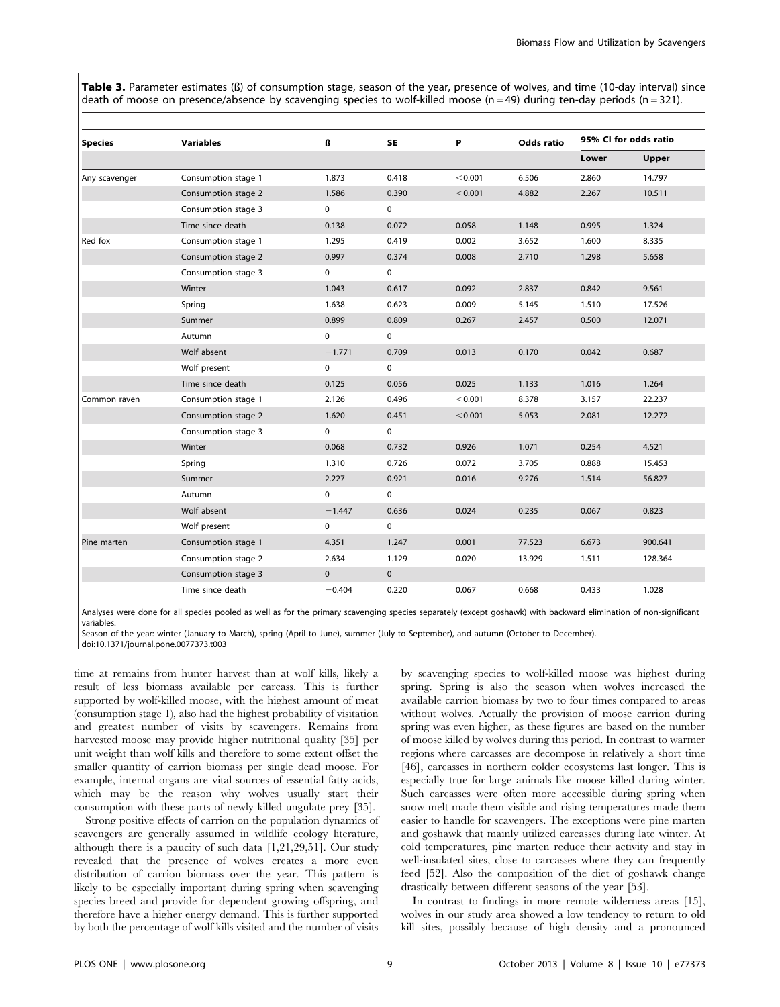Table 3. Parameter estimates (ß) of consumption stage, season of the year, presence of wolves, and time (10-day interval) since death of moose on presence/absence by scavenging species to wolf-killed moose (n = 49) during ten-day periods (n = 321).

| <b>Species</b> | <b>Variables</b>    | ß            | <b>SE</b>    | P       | <b>Odds ratio</b> | 95% CI for odds ratio |         |
|----------------|---------------------|--------------|--------------|---------|-------------------|-----------------------|---------|
|                |                     |              |              |         |                   | Lower                 | Upper   |
| Any scavenger  | Consumption stage 1 | 1.873        | 0.418        | < 0.001 | 6.506             | 2.860                 | 14.797  |
|                | Consumption stage 2 | 1.586        | 0.390        | < 0.001 | 4.882             | 2.267                 | 10.511  |
|                | Consumption stage 3 | $\mathbf 0$  | 0            |         |                   |                       |         |
|                | Time since death    | 0.138        | 0.072        | 0.058   | 1.148             | 0.995                 | 1.324   |
| Red fox        | Consumption stage 1 | 1.295        | 0.419        | 0.002   | 3.652             | 1.600                 | 8.335   |
|                | Consumption stage 2 | 0.997        | 0.374        | 0.008   | 2.710             | 1.298                 | 5.658   |
|                | Consumption stage 3 | 0            | 0            |         |                   |                       |         |
|                | Winter              | 1.043        | 0.617        | 0.092   | 2.837             | 0.842                 | 9.561   |
|                | Spring              | 1.638        | 0.623        | 0.009   | 5.145             | 1.510                 | 17.526  |
|                | Summer              | 0.899        | 0.809        | 0.267   | 2.457             | 0.500                 | 12.071  |
|                | Autumn              | 0            | $\mathbf 0$  |         |                   |                       |         |
|                | Wolf absent         | $-1.771$     | 0.709        | 0.013   | 0.170             | 0.042                 | 0.687   |
|                | Wolf present        | 0            | $\mathbf 0$  |         |                   |                       |         |
|                | Time since death    | 0.125        | 0.056        | 0.025   | 1.133             | 1.016                 | 1.264   |
| Common raven   | Consumption stage 1 | 2.126        | 0.496        | < 0.001 | 8.378             | 3.157                 | 22.237  |
|                | Consumption stage 2 | 1.620        | 0.451        | < 0.001 | 5.053             | 2.081                 | 12.272  |
|                | Consumption stage 3 | 0            | 0            |         |                   |                       |         |
|                | Winter              | 0.068        | 0.732        | 0.926   | 1.071             | 0.254                 | 4.521   |
|                | Spring              | 1.310        | 0.726        | 0.072   | 3.705             | 0.888                 | 15.453  |
|                | Summer              | 2.227        | 0.921        | 0.016   | 9.276             | 1.514                 | 56.827  |
|                | Autumn              | 0            | $\mathbf 0$  |         |                   |                       |         |
|                | Wolf absent         | $-1.447$     | 0.636        | 0.024   | 0.235             | 0.067                 | 0.823   |
|                | Wolf present        | 0            | 0            |         |                   |                       |         |
| Pine marten    | Consumption stage 1 | 4.351        | 1.247        | 0.001   | 77.523            | 6.673                 | 900.641 |
|                | Consumption stage 2 | 2.634        | 1.129        | 0.020   | 13.929            | 1.511                 | 128.364 |
|                | Consumption stage 3 | $\mathbf{0}$ | $\mathbf{0}$ |         |                   |                       |         |
|                | Time since death    | $-0.404$     | 0.220        | 0.067   | 0.668             | 0.433                 | 1.028   |

Analyses were done for all species pooled as well as for the primary scavenging species separately (except goshawk) with backward elimination of non-significant variables.

Season of the year: winter (January to March), spring (April to June), summer (July to September), and autumn (October to December). doi:10.1371/journal.pone.0077373.t003

time at remains from hunter harvest than at wolf kills, likely a result of less biomass available per carcass. This is further supported by wolf-killed moose, with the highest amount of meat (consumption stage 1), also had the highest probability of visitation and greatest number of visits by scavengers. Remains from harvested moose may provide higher nutritional quality [35] per unit weight than wolf kills and therefore to some extent offset the smaller quantity of carrion biomass per single dead moose. For example, internal organs are vital sources of essential fatty acids, which may be the reason why wolves usually start their consumption with these parts of newly killed ungulate prey [35].

Strong positive effects of carrion on the population dynamics of scavengers are generally assumed in wildlife ecology literature, although there is a paucity of such data [1,21,29,51]. Our study revealed that the presence of wolves creates a more even distribution of carrion biomass over the year. This pattern is likely to be especially important during spring when scavenging species breed and provide for dependent growing offspring, and therefore have a higher energy demand. This is further supported by both the percentage of wolf kills visited and the number of visits by scavenging species to wolf-killed moose was highest during spring. Spring is also the season when wolves increased the available carrion biomass by two to four times compared to areas without wolves. Actually the provision of moose carrion during spring was even higher, as these figures are based on the number of moose killed by wolves during this period. In contrast to warmer regions where carcasses are decompose in relatively a short time [46], carcasses in northern colder ecosystems last longer. This is especially true for large animals like moose killed during winter. Such carcasses were often more accessible during spring when snow melt made them visible and rising temperatures made them easier to handle for scavengers. The exceptions were pine marten and goshawk that mainly utilized carcasses during late winter. At cold temperatures, pine marten reduce their activity and stay in well-insulated sites, close to carcasses where they can frequently feed [52]. Also the composition of the diet of goshawk change drastically between different seasons of the year [53].

In contrast to findings in more remote wilderness areas [15], wolves in our study area showed a low tendency to return to old kill sites, possibly because of high density and a pronounced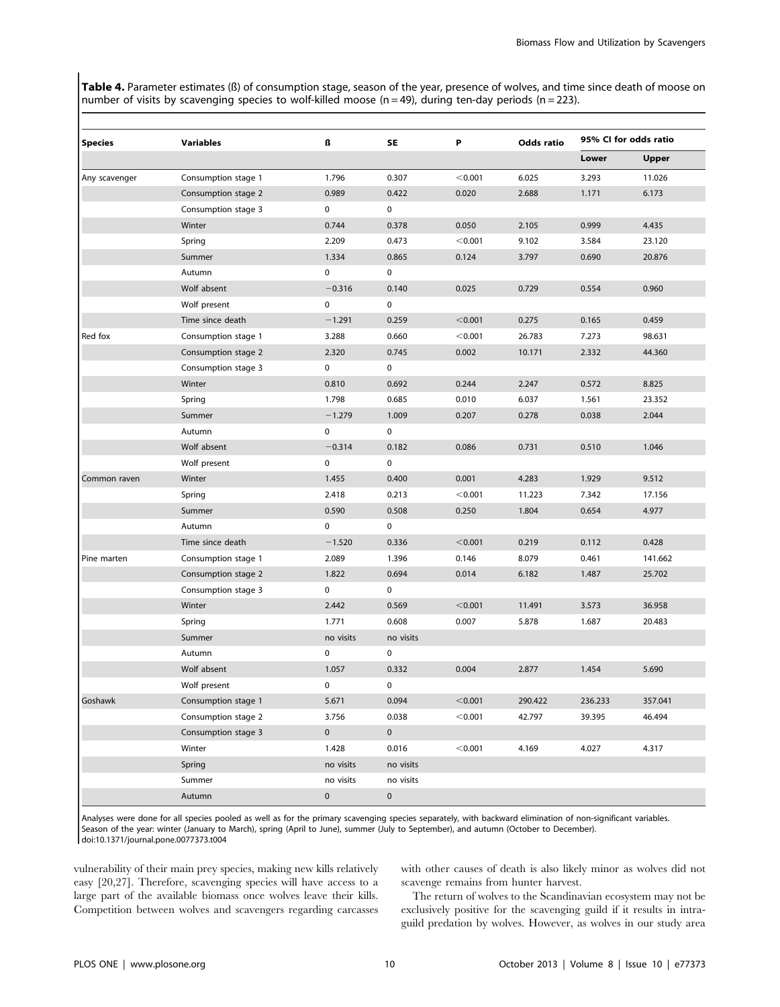Table 4. Parameter estimates (ß) of consumption stage, season of the year, presence of wolves, and time since death of moose on number of visits by scavenging species to wolf-killed moose (n = 49), during ten-day periods (n = 223).

| <b>Species</b> | <b>Variables</b>    | ß         | SE          | P       | <b>Odds ratio</b> | 95% CI for odds ratio |         |
|----------------|---------------------|-----------|-------------|---------|-------------------|-----------------------|---------|
|                |                     |           |             |         |                   | Lower                 | Upper   |
| Any scavenger  | Consumption stage 1 | 1.796     | 0.307       | < 0.001 | 6.025             | 3.293                 | 11.026  |
|                | Consumption stage 2 | 0.989     | 0.422       | 0.020   | 2.688             | 1.171                 | 6.173   |
|                | Consumption stage 3 | 0         | 0           |         |                   |                       |         |
|                | Winter              | 0.744     | 0.378       | 0.050   | 2.105             | 0.999                 | 4.435   |
|                | Spring              | 2.209     | 0.473       | < 0.001 | 9.102             | 3.584                 | 23.120  |
|                | Summer              | 1.334     | 0.865       | 0.124   | 3.797             | 0.690                 | 20.876  |
|                | Autumn              | 0         | 0           |         |                   |                       |         |
|                | Wolf absent         | $-0.316$  | 0.140       | 0.025   | 0.729             | 0.554                 | 0.960   |
|                | Wolf present        | 0         | 0           |         |                   |                       |         |
|                | Time since death    | $-1.291$  | 0.259       | < 0.001 | 0.275             | 0.165                 | 0.459   |
| Red fox        | Consumption stage 1 | 3.288     | 0.660       | < 0.001 | 26.783            | 7.273                 | 98.631  |
|                | Consumption stage 2 | 2.320     | 0.745       | 0.002   | 10.171            | 2.332                 | 44.360  |
|                | Consumption stage 3 | 0         | 0           |         |                   |                       |         |
|                | Winter              | 0.810     | 0.692       | 0.244   | 2.247             | 0.572                 | 8.825   |
|                | Spring              | 1.798     | 0.685       | 0.010   | 6.037             | 1.561                 | 23.352  |
|                | Summer              | $-1.279$  | 1.009       | 0.207   | 0.278             | 0.038                 | 2.044   |
|                | Autumn              | 0         | 0           |         |                   |                       |         |
|                | Wolf absent         | $-0.314$  | 0.182       | 0.086   | 0.731             | 0.510                 | 1.046   |
|                | Wolf present        | 0         | 0           |         |                   |                       |         |
| Common raven   | Winter              | 1.455     | 0.400       | 0.001   | 4.283             | 1.929                 | 9.512   |
|                | Spring              | 2.418     | 0.213       | < 0.001 | 11.223            | 7.342                 | 17.156  |
|                | Summer              | 0.590     | 0.508       | 0.250   | 1.804             | 0.654                 | 4.977   |
|                | Autumn              | 0         | 0           |         |                   |                       |         |
|                | Time since death    | $-1.520$  | 0.336       | < 0.001 | 0.219             | 0.112                 | 0.428   |
| Pine marten    | Consumption stage 1 | 2.089     | 1.396       | 0.146   | 8.079             | 0.461                 | 141.662 |
|                | Consumption stage 2 | 1.822     | 0.694       | 0.014   | 6.182             | 1.487                 | 25.702  |
|                | Consumption stage 3 | 0         | 0           |         |                   |                       |         |
|                | Winter              | 2.442     | 0.569       | < 0.001 | 11.491            | 3.573                 | 36.958  |
|                | Spring              | 1.771     | 0.608       | 0.007   | 5.878             | 1.687                 | 20.483  |
|                | Summer              | no visits | no visits   |         |                   |                       |         |
|                | Autumn              | 0         | 0           |         |                   |                       |         |
|                | Wolf absent         | 1.057     | 0.332       | 0.004   | 2.877             | 1.454                 | 5.690   |
|                | Wolf present        | 0         | 0           |         |                   |                       |         |
| Goshawk        | Consumption stage 1 | 5.671     | 0.094       | < 0.001 | 290.422           | 236.233               | 357.041 |
|                | Consumption stage 2 | 3.756     | 0.038       | < 0.001 | 42.797            | 39.395                | 46.494  |
|                | Consumption stage 3 | $\pmb{0}$ | $\mathbf 0$ |         |                   |                       |         |
|                | Winter              | 1.428     | 0.016       | < 0.001 | 4.169             | 4.027                 | 4.317   |
|                | Spring              | no visits | no visits   |         |                   |                       |         |
|                | Summer              | no visits | no visits   |         |                   |                       |         |
|                | Autumn              | $\pmb{0}$ | $\mathbf 0$ |         |                   |                       |         |

Analyses were done for all species pooled as well as for the primary scavenging species separately, with backward elimination of non-significant variables. Season of the year: winter (January to March), spring (April to June), summer (July to September), and autumn (October to December). doi:10.1371/journal.pone.0077373.t004

vulnerability of their main prey species, making new kills relatively easy [20,27]. Therefore, scavenging species will have access to a large part of the available biomass once wolves leave their kills. Competition between wolves and scavengers regarding carcasses with other causes of death is also likely minor as wolves did not scavenge remains from hunter harvest.

The return of wolves to the Scandinavian ecosystem may not be exclusively positive for the scavenging guild if it results in intraguild predation by wolves. However, as wolves in our study area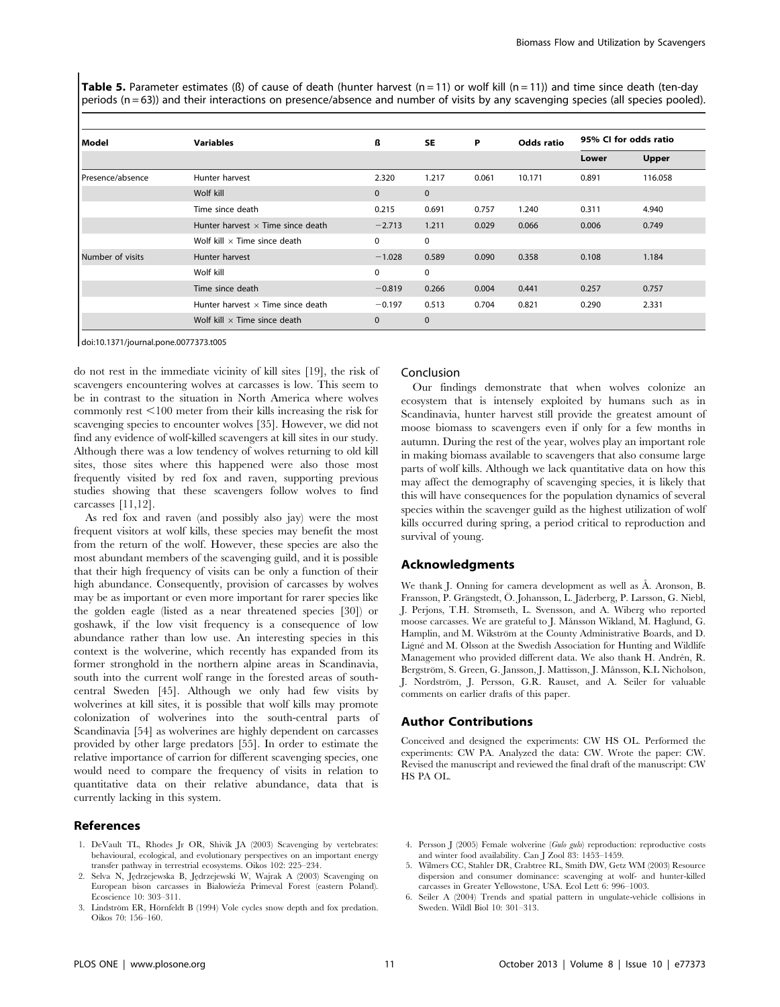**Table 5.** Parameter estimates ( $\beta$ ) of cause of death (hunter harvest (n = 11) or wolf kill (n = 11)) and time since death (ten-day periods (n = 63)) and their interactions on presence/absence and number of visits by any scavenging species (all species pooled).

| l Model          | <b>Variables</b>                         | ß            | <b>SE</b>    | P     | Odds ratio | 95% CI for odds ratio |              |
|------------------|------------------------------------------|--------------|--------------|-------|------------|-----------------------|--------------|
|                  |                                          |              |              |       |            | Lower                 | <b>Upper</b> |
| Presence/absence | Hunter harvest                           | 2.320        | 1.217        | 0.061 | 10.171     | 0.891                 | 116.058      |
|                  | Wolf kill                                | $\mathbf{0}$ | $\mathbf{0}$ |       |            |                       |              |
|                  | Time since death                         | 0.215        | 0.691        | 0.757 | 1.240      | 0.311                 | 4.940        |
|                  | Hunter harvest $\times$ Time since death | $-2.713$     | 1.211        | 0.029 | 0.066      | 0.006                 | 0.749        |
|                  | Wolf kill $\times$ Time since death      | $\Omega$     | 0            |       |            |                       |              |
| Number of visits | Hunter harvest                           | $-1.028$     | 0.589        | 0.090 | 0.358      | 0.108                 | 1.184        |
|                  | Wolf kill                                | 0            | 0            |       |            |                       |              |
|                  | Time since death                         | $-0.819$     | 0.266        | 0.004 | 0.441      | 0.257                 | 0.757        |
|                  | Hunter harvest $\times$ Time since death | $-0.197$     | 0.513        | 0.704 | 0.821      | 0.290                 | 2.331        |
|                  | Wolf kill $\times$ Time since death      | $\mathbf 0$  | $\mathbf{0}$ |       |            |                       |              |

doi:10.1371/journal.pone.0077373.t005

do not rest in the immediate vicinity of kill sites [19], the risk of scavengers encountering wolves at carcasses is low. This seem to be in contrast to the situation in North America where wolves commonly rest  $\leq 100$  meter from their kills increasing the risk for scavenging species to encounter wolves [35]. However, we did not find any evidence of wolf-killed scavengers at kill sites in our study. Although there was a low tendency of wolves returning to old kill sites, those sites where this happened were also those most frequently visited by red fox and raven, supporting previous studies showing that these scavengers follow wolves to find carcasses [11,12].

As red fox and raven (and possibly also jay) were the most frequent visitors at wolf kills, these species may benefit the most from the return of the wolf. However, these species are also the most abundant members of the scavenging guild, and it is possible that their high frequency of visits can be only a function of their high abundance. Consequently, provision of carcasses by wolves may be as important or even more important for rarer species like the golden eagle (listed as a near threatened species [30]) or goshawk, if the low visit frequency is a consequence of low abundance rather than low use. An interesting species in this context is the wolverine, which recently has expanded from its former stronghold in the northern alpine areas in Scandinavia, south into the current wolf range in the forested areas of southcentral Sweden [45]. Although we only had few visits by wolverines at kill sites, it is possible that wolf kills may promote colonization of wolverines into the south-central parts of Scandinavia [54] as wolverines are highly dependent on carcasses provided by other large predators [55]. In order to estimate the relative importance of carrion for different scavenging species, one would need to compare the frequency of visits in relation to quantitative data on their relative abundance, data that is currently lacking in this system.

# References

- 1. DeVault TL, Rhodes Jr OR, Shivik JA (2003) Scavenging by vertebrates: behavioural, ecological, and evolutionary perspectives on an important energy transfer pathway in terrestrial ecosystems. Oikos 102: 225–234.
- 2. Selva N, Jędrzejewska B, Jędrzejewski W, Wajrak A (2003) Scavenging on European bison carcasses in Białowieża Primeval Forest (eastern Poland). Ecoscience 10: 303–311.
- 3. Lindström ER, Hörnfeldt B (1994) Vole cycles snow depth and fox predation. Oikos 70: 156–160.

#### Conclusion

Our findings demonstrate that when wolves colonize an ecosystem that is intensely exploited by humans such as in Scandinavia, hunter harvest still provide the greatest amount of moose biomass to scavengers even if only for a few months in autumn. During the rest of the year, wolves play an important role in making biomass available to scavengers that also consume large parts of wolf kills. Although we lack quantitative data on how this may affect the demography of scavenging species, it is likely that this will have consequences for the population dynamics of several species within the scavenger guild as the highest utilization of wolf kills occurred during spring, a period critical to reproduction and survival of young.

# Acknowledgments

We thank J. Onning for camera development as well as Å. Aronson, B. Fransson, P. Grängstedt, Ö. Johansson, L. Jäderberg, P. Larsson, G. Niebl, J. Perjons, T.H. Strømseth, L. Svensson, and A. Wiberg who reported moose carcasses. We are grateful to J. Månsson Wikland, M. Haglund, G. Hamplin, and M. Wikström at the County Administrative Boards, and D. Ligné and M. Olsson at the Swedish Association for Hunting and Wildlife Management who provided different data. We also thank H. Andrén, R. Bergström, S. Green, G. Jansson, J. Mattisson, J. Månsson, K.L Nicholson, J. Nordström, J. Persson, G.R. Rauset, and A. Seiler for valuable comments on earlier drafts of this paper.

## Author Contributions

Conceived and designed the experiments: CW HS OL. Performed the experiments: CW PA. Analyzed the data: CW. Wrote the paper: CW. Revised the manuscript and reviewed the final draft of the manuscript: CW HS PA OL.

- 4. Persson J (2005) Female wolverine (Gulo gulo) reproduction: reproductive costs and winter food availability. Can J Zool 83: 1453–1459.
- 5. Wilmers CC, Stahler DR, Crabtree RL, Smith DW, Getz WM (2003) Resource dispersion and consumer dominance: scavenging at wolf- and hunter-killed carcasses in Greater Yellowstone, USA. Ecol Lett 6: 996–1003.
- 6. Seiler A (2004) Trends and spatial pattern in ungulate-vehicle collisions in Sweden. Wildl Biol 10: 301–313.